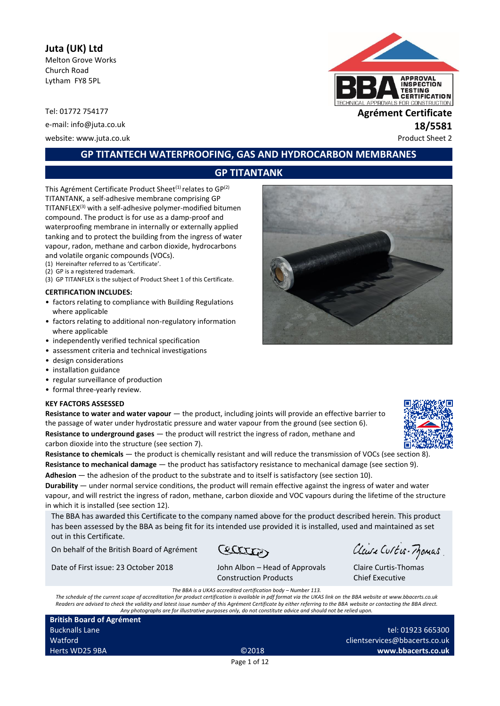# **Juta (UK) Ltd**

Melton Grove Works Church Road Lytham FY8 5PL

Tel: 01772 754177 **Agrément Certificate**

e-mail: info@juta.co.uk **18/5581** website: www.juta.co.uk example of the example of the example of the example of the example of the example of the example of the example of the example of the example of the example of the example of the example of the exa



# **GP TITANTECH WATERPROOFING, GAS AND HYDROCARBON MEMBRANES**

# **GP TITANTANK**

This Agrément Certificate Product Sheet<sup>(1)</sup> relates to  $GP<sup>(2)</sup>$ TITANTANK, a self-adhesive membrane comprising GP TITANFLEX(3) with a self-adhesive polymer-modified bitumen compound. The product is for use as a damp-proof and waterproofing membrane in internally or externally applied tanking and to protect the building from the ingress of water vapour, radon, methane and carbon dioxide, hydrocarbons

and volatile organic compounds (VOCs).

- (1) Hereinafter referred to as 'Certificate'.
- (2) GP is a registered trademark. (3) GP TITANFLEX is the subject of Product Sheet 1 of this Certificate.

**CERTIFICATION INCLUDES:**

- factors relating to compliance with Building Regulations where applicable
- factors relating to additional non-regulatory information where applicable
- independently verified technical specification
- assessment criteria and technical investigations
- design considerations
- installation guidance
- regular surveillance of production
- formal three-yearly review.

#### **KEY FACTORS ASSESSED**

**Resistance to water and water vapour** — the product, including joints will provide an effective barrier to the passage of water under hydrostatic pressure and water vapour from the ground (see section 6). **Resistance to underground gases** — the product will restrict the ingress of radon, methane and carbon dioxide into the structure (see section 7).

**Resistance to chemicals** — the product is chemically resistant and will reduce the transmission of VOCs (see section 8). **Resistance to mechanical damage** — the product has satisfactory resistance to mechanical damage (see section 9). **Adhesion** — the adhesion of the product to the substrate and to itself is satisfactory (see section 10).

**Durability** — under normal service conditions, the product will remain effective against the ingress of water and water vapour, and will restrict the ingress of radon, methane, carbon dioxide and VOC vapours during the lifetime of the structure in which it is installed (see section 12).

The BBA has awarded this Certificate to the company named above for the product described herein. This product has been assessed by the BBA as being fit for its intended use provided it is installed, used and maintained as set out in this Certificate.

On behalf of the British Board of Agrément

**CELLERY** 

Date of First issue: 23 October 2018 John Albon – Head of Approvals

Construction Products

Claire Curtis-Momas

Claire Curtis-Thomas Chief Executive

*The BBA is a UKAS accredited certification body – Number 113.*

*The schedule of the current scope of accreditation for product certification is available in pdf format via the UKAS link on the BBA website at www.bbacerts.co.uk Readers are advised to check the validity and latest issue number of this Agrément Certificate by either referring to the BBA website or contacting the BBA direct. Any photographs are for illustrative purposes only, do not constitute advice and should not be relied upon.*

**British Board of Agrément** Bucknalls Lane Watford Herts WD25 9BA ©2018

tel: 01923 665300 clientservices@bbacerts.co.uk **www.bbacerts.co.uk**

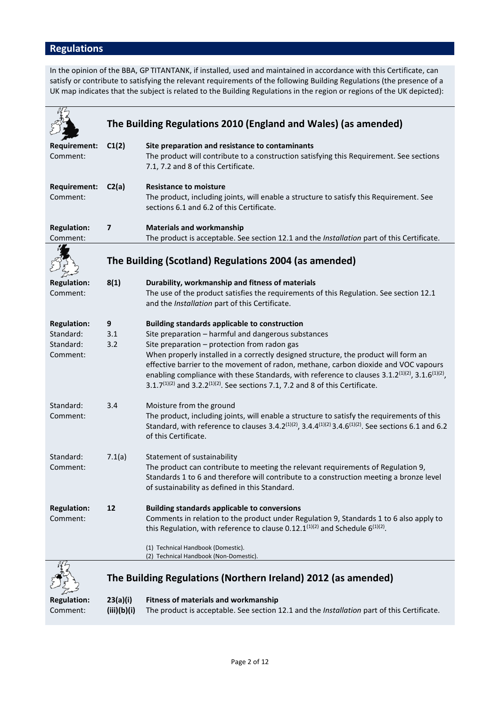# **Regulations**

In the opinion of the BBA, GP TITANTANK, if installed, used and maintained in accordance with this Certificate, can satisfy or contribute to satisfying the relevant requirements of the following Building Regulations (the presence of a UK map indicates that the subject is related to the Building Regulations in the region or regions of the UK depicted):

|                                                          | The Building Regulations 2010 (England and Wales) (as amended) |                                                                                                                                                                                                                                                                                                                                                                                                                                                                                                                                                                                |  |
|----------------------------------------------------------|----------------------------------------------------------------|--------------------------------------------------------------------------------------------------------------------------------------------------------------------------------------------------------------------------------------------------------------------------------------------------------------------------------------------------------------------------------------------------------------------------------------------------------------------------------------------------------------------------------------------------------------------------------|--|
| <b>Requirement:</b><br>Comment:                          | C1(2)                                                          | Site preparation and resistance to contaminants<br>The product will contribute to a construction satisfying this Requirement. See sections<br>7.1, 7.2 and 8 of this Certificate.                                                                                                                                                                                                                                                                                                                                                                                              |  |
| <b>Requirement:</b><br>Comment:                          | C2(a)                                                          | <b>Resistance to moisture</b><br>The product, including joints, will enable a structure to satisfy this Requirement. See<br>sections 6.1 and 6.2 of this Certificate.                                                                                                                                                                                                                                                                                                                                                                                                          |  |
| <b>Regulation:</b><br>Comment:                           | 7                                                              | <b>Materials and workmanship</b><br>The product is acceptable. See section 12.1 and the Installation part of this Certificate.                                                                                                                                                                                                                                                                                                                                                                                                                                                 |  |
|                                                          |                                                                | The Building (Scotland) Regulations 2004 (as amended)                                                                                                                                                                                                                                                                                                                                                                                                                                                                                                                          |  |
| <b>Regulation:</b><br>Comment:                           | 8(1)                                                           | Durability, workmanship and fitness of materials<br>The use of the product satisfies the requirements of this Regulation. See section 12.1<br>and the Installation part of this Certificate.                                                                                                                                                                                                                                                                                                                                                                                   |  |
| <b>Regulation:</b><br>Standard:<br>Standard:<br>Comment: | 9<br>3.1<br>3.2                                                | <b>Building standards applicable to construction</b><br>Site preparation - harmful and dangerous substances<br>Site preparation - protection from radon gas<br>When properly installed in a correctly designed structure, the product will form an<br>effective barrier to the movement of radon, methane, carbon dioxide and VOC vapours<br>enabling compliance with these Standards, with reference to clauses 3.1.2 <sup>(1)(2)</sup> , 3.1.6 <sup>(1)(2)</sup> ,<br>3.1.7 <sup>(1)(2)</sup> and 3.2.2 <sup>(1)(2)</sup> . See sections 7.1, 7.2 and 8 of this Certificate. |  |
| Standard:<br>Comment:                                    | 3.4                                                            | Moisture from the ground<br>The product, including joints, will enable a structure to satisfy the requirements of this<br>Standard, with reference to clauses 3.4.2 <sup>(1)(2)</sup> , 3.4.4 <sup>(1)(2)</sup> 3.4.6 <sup>(1)(2)</sup> . See sections 6.1 and 6.2<br>of this Certificate.                                                                                                                                                                                                                                                                                     |  |
| Standard:<br>Comment:                                    | 7.1(a)                                                         | Statement of sustainability<br>The product can contribute to meeting the relevant requirements of Regulation 9,<br>Standards 1 to 6 and therefore will contribute to a construction meeting a bronze level<br>of sustainability as defined in this Standard.                                                                                                                                                                                                                                                                                                                   |  |
| <b>Regulation:</b><br>Comment:                           | 12                                                             | <b>Building standards applicable to conversions</b><br>Comments in relation to the product under Regulation 9, Standards 1 to 6 also apply to<br>this Regulation, with reference to clause 0.12.1 <sup>(1)(2)</sup> and Schedule $6^{(1)(2)}$ .<br>(1) Technical Handbook (Domestic).                                                                                                                                                                                                                                                                                          |  |
|                                                          |                                                                | (2) Technical Handbook (Non-Domestic).<br>The Building Regulations (Northern Ireland) 2012 (as amended)                                                                                                                                                                                                                                                                                                                                                                                                                                                                        |  |
| <b>Regulation:</b><br>Comment:                           | 23(a)(i)<br>(iii)(b)(i)                                        | <b>Fitness of materials and workmanship</b><br>The product is acceptable. See section 12.1 and the Installation part of this Certificate.                                                                                                                                                                                                                                                                                                                                                                                                                                      |  |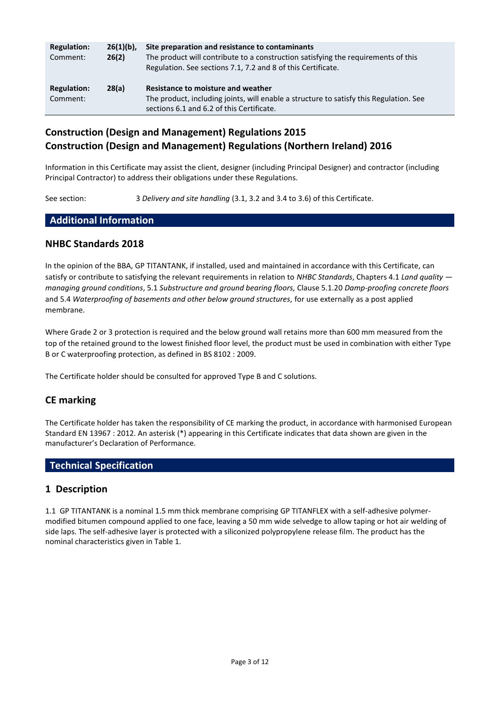| <b>Regulation:</b><br>Comment: | $26(1)(b)$ ,<br>26(2) | Site preparation and resistance to contaminants<br>The product will contribute to a construction satisfying the requirements of this<br>Regulation. See sections 7.1, 7.2 and 8 of this Certificate. |
|--------------------------------|-----------------------|------------------------------------------------------------------------------------------------------------------------------------------------------------------------------------------------------|
| <b>Regulation:</b><br>Comment: | 28(a)                 | Resistance to moisture and weather<br>The product, including joints, will enable a structure to satisfy this Regulation. See<br>sections 6.1 and 6.2 of this Certificate.                            |

# **Construction (Design and Management) Regulations 2015 Construction (Design and Management) Regulations (Northern Ireland) 2016**

Information in this Certificate may assist the client, designer (including Principal Designer) and contractor (including Principal Contractor) to address their obligations under these Regulations.

See section: 3 *Delivery and site handling* (3.1, 3.2 and 3.4 to 3.6) of this Certificate.

## **Additional Information**

## **NHBC Standards 2018**

In the opinion of the BBA, GP TITANTANK, if installed, used and maintained in accordance with this Certificate, can satisfy or contribute to satisfying the relevant requirements in relation to *NHBC Standards*, Chapters 4.1 *Land quality managing ground conditions*, 5.1 *Substructure and ground bearing floors,* Clause 5.1.20 *Damp-proofing concrete floors* and 5.4 *Waterproofing of basements and other below ground structures,* for use externally as a post applied membrane.

Where Grade 2 or 3 protection is required and the below ground wall retains more than 600 mm measured from the top of the retained ground to the lowest finished floor level, the product must be used in combination with either Type B or C waterproofing protection, as defined in BS 8102 : 2009.

The Certificate holder should be consulted for approved Type B and C solutions.

## **CE marking**

The Certificate holder has taken the responsibility of CE marking the product, in accordance with harmonised European Standard EN 13967 : 2012. An asterisk (\*) appearing in this Certificate indicates that data shown are given in the manufacturer's Declaration of Performance.

# **Technical Specification**

## **1 Description**

1.1 GP TITANTANK is a nominal 1.5 mm thick membrane comprising GP TITANFLEX with a self-adhesive polymermodified bitumen compound applied to one face, leaving a 50 mm wide selvedge to allow taping or hot air welding of side laps. The self-adhesive layer is protected with a siliconized polypropylene release film. The product has the nominal characteristics given in Table 1.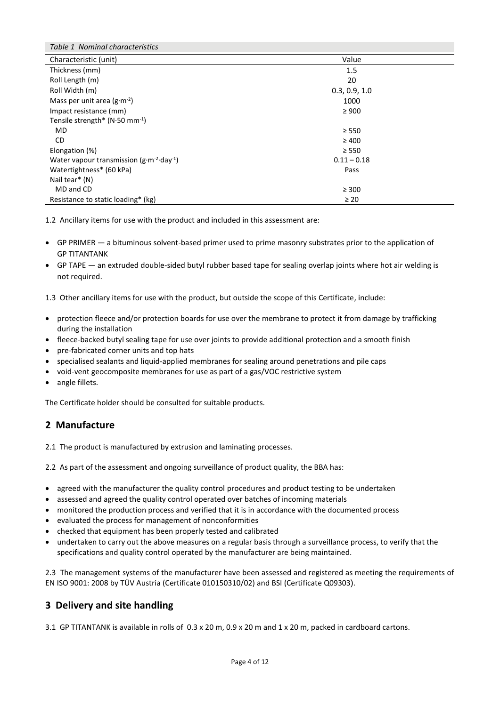| Table 1 Nominal characteristics                             |               |  |
|-------------------------------------------------------------|---------------|--|
| Characteristic (unit)                                       | Value         |  |
| Thickness (mm)                                              | 1.5           |  |
| Roll Length (m)                                             | 20            |  |
| Roll Width (m)                                              | 0.3, 0.9, 1.0 |  |
| Mass per unit area $(g \cdot m^{-2})$                       | 1000          |  |
| Impact resistance (mm)                                      | $\geq 900$    |  |
| Tensile strength* ( $N·50$ mm <sup>-1</sup> )               |               |  |
| MD                                                          | $\geq$ 550    |  |
| CD.                                                         | $\geq 400$    |  |
| Elongation (%)                                              | $\geq$ 550    |  |
| Water vapour transmission $(g \cdot m^{-2} \cdot day^{-1})$ | $0.11 - 0.18$ |  |
| Watertightness* (60 kPa)                                    | Pass          |  |
| Nail tear* (N)                                              |               |  |
| MD and CD                                                   | $\geq 300$    |  |
| Resistance to static loading* (kg)                          | $\geq 20$     |  |

1.2 Ancillary items for use with the product and included in this assessment are:

- GP PRIMER a bituminous solvent-based primer used to prime masonry substrates prior to the application of GP TITANTANK
- GP TAPE an extruded double-sided butyl rubber based tape for sealing overlap joints where hot air welding is not required.

1.3 Other ancillary items for use with the product, but outside the scope of this Certificate, include:

- protection fleece and/or protection boards for use over the membrane to protect it from damage by trafficking during the installation
- fleece-backed butyl sealing tape for use over joints to provide additional protection and a smooth finish
- pre-fabricated corner units and top hats
- specialised sealants and liquid-applied membranes for sealing around penetrations and pile caps
- void-vent geocomposite membranes for use as part of a gas/VOC restrictive system
- angle fillets.

The Certificate holder should be consulted for suitable products.

## **2 Manufacture**

2.1 The product is manufactured by extrusion and laminating processes.

2.2 As part of the assessment and ongoing surveillance of product quality, the BBA has:

- agreed with the manufacturer the quality control procedures and product testing to be undertaken
- assessed and agreed the quality control operated over batches of incoming materials
- monitored the production process and verified that it is in accordance with the documented process
- evaluated the process for management of nonconformities
- checked that equipment has been properly tested and calibrated
- undertaken to carry out the above measures on a regular basis through a surveillance process, to verify that the specifications and quality control operated by the manufacturer are being maintained.

2.3 The management systems of the manufacturer have been assessed and registered as meeting the requirements of EN ISO 9001: 2008 by TÜV Austria (Certificate 010150310/02) and BSI (Certificate Q09303).

# **3 Delivery and site handling**

3.1 GP TITANTANK is available in rolls of 0.3 x 20 m, 0.9 x 20 m and 1 x 20 m, packed in cardboard cartons.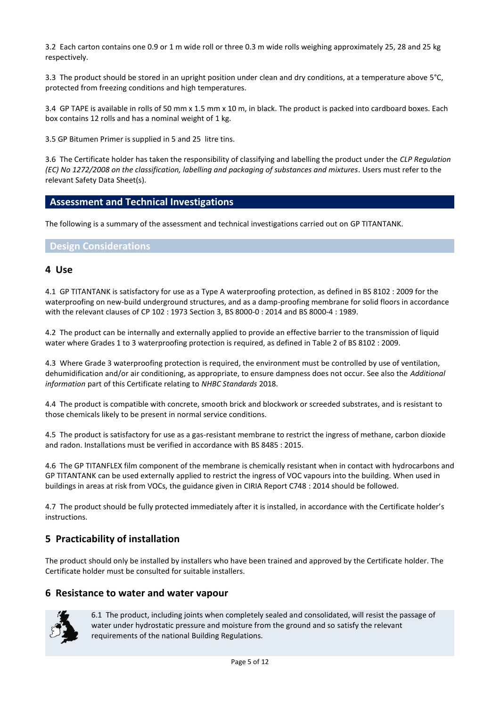3.2 Each carton contains one 0.9 or 1 m wide roll or three 0.3 m wide rolls weighing approximately 25, 28 and 25 kg respectively.

3.3 The product should be stored in an upright position under clean and dry conditions, at a temperature above 5°C, protected from freezing conditions and high temperatures.

3.4 GP TAPE is available in rolls of 50 mm x 1.5 mm x 10 m, in black. The product is packed into cardboard boxes. Each box contains 12 rolls and has a nominal weight of 1 kg.

3.5 GP Bitumen Primer is supplied in 5 and 25 litre tins.

3.6 The Certificate holder has taken the responsibility of classifying and labelling the product under the *CLP Regulation (EC) No 1272/2008 on the classification, labelling and packaging of substances and mixtures*. Users must refer to the relevant Safety Data Sheet(s).

## **Assessment and Technical Investigations**

The following is a summary of the assessment and technical investigations carried out on GP TITANTANK.

#### **Design Considerations**

#### **4 Use**

4.1 GP TITANTANK is satisfactory for use as a Type A waterproofing protection, as defined in BS 8102 : 2009 for the waterproofing on new-build underground structures, and as a damp-proofing membrane for solid floors in accordance with the relevant clauses of CP 102 : 1973 Section 3, BS 8000-0 : 2014 and BS 8000-4 : 1989.

4.2 The product can be internally and externally applied to provide an effective barrier to the transmission of liquid water where Grades 1 to 3 waterproofing protection is required, as defined in Table 2 of BS 8102 : 2009.

4.3 Where Grade 3 waterproofing protection is required, the environment must be controlled by use of ventilation, dehumidification and/or air conditioning, as appropriate, to ensure dampness does not occur. See also the *Additional information* part of this Certificate relating to *NHBC Standards* 2018.

4.4 The product is compatible with concrete, smooth brick and blockwork or screeded substrates, and is resistant to those chemicals likely to be present in normal service conditions.

4.5 The product is satisfactory for use as a gas-resistant membrane to restrict the ingress of methane, carbon dioxide and radon. Installations must be verified in accordance with BS 8485 : 2015.

4.6 The GP TITANFLEX film component of the membrane is chemically resistant when in contact with hydrocarbons and GP TITANTANK can be used externally applied to restrict the ingress of VOC vapours into the building. When used in buildings in areas at risk from VOCs, the guidance given in CIRIA Report C748 : 2014 should be followed.

4.7 The product should be fully protected immediately after it is installed, in accordance with the Certificate holder's instructions.

## **5 Practicability of installation**

The product should only be installed by installers who have been trained and approved by the Certificate holder. The Certificate holder must be consulted for suitable installers.

#### **6 Resistance to water and water vapour**



6.1 The product, including joints when completely sealed and consolidated, will resist the passage of water under hydrostatic pressure and moisture from the ground and so satisfy the relevant requirements of the national Building Regulations.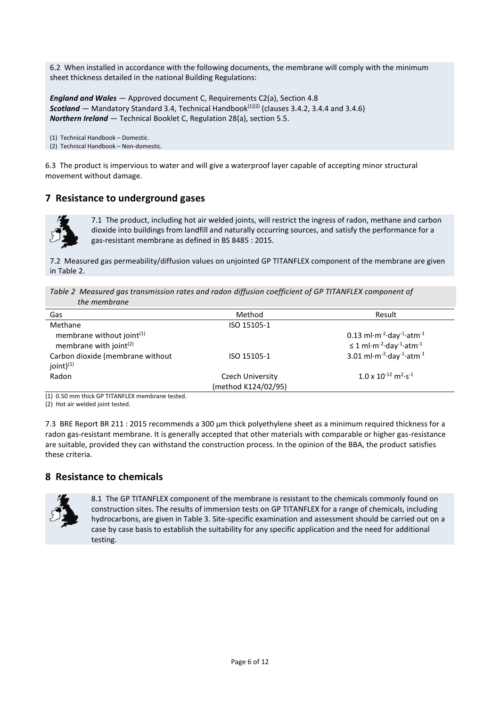6.2 When installed in accordance with the following documents, the membrane will comply with the minimum sheet thickness detailed in the national Building Regulations:

*England and Wales* — Approved document C, Requirements C2(a), Section 4.8 *Scotland* — Mandatory Standard 3.4, Technical Handbook(1)(2) (clauses 3.4.2, 3.4.4 and 3.4.6) *Northern Ireland* — Technical Booklet C, Regulation 28(a), section 5.5.

(1) Technical Handbook – Domestic. (2) Technical Handbook – Non-domestic.

6.3 The product is impervious to water and will give a waterproof layer capable of accepting minor structural movement without damage.

# **7 Resistance to underground gases**



7.1 The product, including hot air welded joints, will restrict the ingress of radon, methane and carbon dioxide into buildings from landfill and naturally occurring sources, and satisfy the performance for a gas-resistant membrane as defined in BS 8485 : 2015.

7.2 Measured gas permeability/diffusion values on unjointed GP TITANFLEX component of the membrane are given in Table 2.

*Table 2 Measured gas transmission rates and radon diffusion coefficient of GP TITANFLEX component of the membrane*

| Gas                                | Method              | Result                                                                              |
|------------------------------------|---------------------|-------------------------------------------------------------------------------------|
| Methane                            | ISO 15105-1         |                                                                                     |
| membrane without joint $(1)$       |                     | 0.13 ml $\cdot$ m <sup>-2</sup> $\cdot$ day <sup>-1</sup> $\cdot$ atm <sup>-1</sup> |
| membrane with joint <sup>(2)</sup> |                     | $\leq$ 1 ml·m <sup>-2</sup> ·day <sup>-1</sup> ·atm <sup>-1</sup>                   |
| Carbon dioxide (membrane without   | ISO 15105-1         | 3.01 ml $\cdot$ m <sup>-2</sup> $\cdot$ day <sup>-1</sup> $\cdot$ atm <sup>-1</sup> |
| joint $)^{(1)}$                    |                     |                                                                                     |
| Radon                              | Czech University    | $1.0 \times 10^{-12}$ m <sup>2</sup> ·s <sup>-1</sup>                               |
|                                    | (method K124/02/95) |                                                                                     |

(1) 0.50 mm thick GP TITANFLEX membrane tested.

(2) Hot air welded joint tested.

7.3 BRE Report BR 211 : 2015 recommends a 300 μm thick polyethylene sheet as a minimum required thickness for a radon gas-resistant membrane. It is generally accepted that other materials with comparable or higher gas-resistance are suitable, provided they can withstand the construction process. In the opinion of the BBA, the product satisfies these criteria.

## **8 Resistance to chemicals**



8.1 The GP TITANFLEX component of the membrane is resistant to the chemicals commonly found on construction sites. The results of immersion tests on GP TITANFLEX for a range of chemicals, including hydrocarbons, are given in Table 3. Site-specific examination and assessment should be carried out on a case by case basis to establish the suitability for any specific application and the need for additional testing.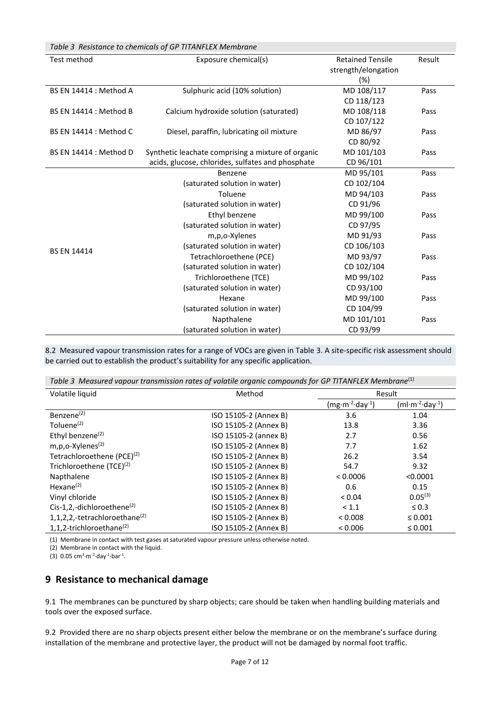| Table 3 Resistance to chemicals of GP TITANFLEX Membrane |                                                    |                         |        |
|----------------------------------------------------------|----------------------------------------------------|-------------------------|--------|
| Test method                                              | Exposure chemical(s)                               | <b>Retained Tensile</b> | Result |
|                                                          |                                                    | strength/elongation     |        |
|                                                          |                                                    | (%)                     |        |
| <b>BS EN 14414 : Method A</b>                            | Sulphuric acid (10% solution)                      | MD 108/117              | Pass   |
|                                                          |                                                    | CD 118/123              |        |
| BS EN 14414 : Method B                                   | Calcium hydroxide solution (saturated)             | MD 108/118              | Pass   |
|                                                          |                                                    | CD 107/122              |        |
| BS EN 14414 : Method C                                   | Diesel, paraffin, lubricating oil mixture          | MD 86/97                | Pass   |
|                                                          |                                                    | CD 80/92                |        |
| <b>BS EN 14414 : Method D</b>                            | Synthetic leachate comprising a mixture of organic | MD 101/103              | Pass   |
|                                                          | acids, glucose, chlorides, sulfates and phosphate  | CD 96/101               |        |
|                                                          | Benzene                                            | MD 95/101               | Pass   |
|                                                          | (saturated solution in water)                      | CD 102/104              |        |
|                                                          | Toluene                                            | MD 94/103               | Pass   |
|                                                          | (saturated solution in water)                      | CD 91/96                |        |
|                                                          | Ethyl benzene                                      | MD 99/100               | Pass   |
|                                                          | (saturated solution in water)                      | CD 97/95                |        |
|                                                          | m,p,o-Xylenes                                      | MD 91/93                | Pass   |
| <b>BS EN 14414</b>                                       | (saturated solution in water)                      | CD 106/103              |        |
|                                                          | Tetrachloroethene (PCE)                            | MD 93/97                | Pass   |
|                                                          | (saturated solution in water)                      | CD 102/104              |        |
|                                                          | Trichloroethene (TCE)                              | MD 99/102               | Pass   |
|                                                          | (saturated solution in water)                      | CD 93/100               |        |
|                                                          | Hexane                                             | MD 99/100               | Pass   |
|                                                          | (saturated solution in water)                      | CD 104/99               |        |
|                                                          | Napthalene                                         | MD 101/101              | Pass   |
|                                                          | (saturated solution in water)                      | CD 93/99                |        |

8.2 Measured vapour transmission rates for a range of VOCs are given in Table 3. A site-specific risk assessment should be carried out to establish the product's suitability for any specific application.

*Table 3 Measured vapour transmission rates of volatile organic compounds for GP TITANFLEX Membrane*(1)

| Volatile liquid                           | Method                | Result           |                                          |
|-------------------------------------------|-----------------------|------------------|------------------------------------------|
|                                           |                       | $(mg·m-2·day-1)$ | (ml·m <sup>-2</sup> ·day <sup>-1</sup> ) |
| Benzene <sup>(2)</sup>                    | ISO 15105-2 (Annex B) | 3.6              | 1.04                                     |
| Toluene <sup>(2)</sup>                    | ISO 15105-2 (Annex B) | 13.8             | 3.36                                     |
| Ethyl benzene <sup>(2)</sup>              | ISO 15105-2 (annex B) | 2.7              | 0.56                                     |
| m,p,o-Xylenes <sup>(2)</sup>              | ISO 15105-2 (Annex B) | 7.7              | 1.62                                     |
| Tetrachloroethene (PCE) <sup>(2)</sup>    | ISO 15105-2 (Annex B) | 26.2             | 3.54                                     |
| Trichloroethene (TCE) <sup>(2)</sup>      | ISO 15105-2 (Annex B) | 54.7             | 9.32                                     |
| Napthalene                                | ISO 15105-2 (Annex B) | < 0.0006         | < 0.0001                                 |
| Hexane $(2)$                              | ISO 15105-2 (Annex B) | 0.6              | 0.15                                     |
| Vinyl chloride                            | ISO 15105-2 (Annex B) | < 0.04           | $0.05^{(3)}$                             |
| Cis-1,2,-dichloroethene $^{(2)}$          | ISO 15105-2 (Annex B) | < 1.1            | $\leq 0.3$                               |
| 1,1,2,2,-tetrachloroethane <sup>(2)</sup> | ISO 15105-2 (Annex B) | < 0.008          | $\leq 0.001$                             |
| 1,1,2-trichloroethane $^{(2)}$            | ISO 15105-2 (Annex B) | < 0.006          | $\leq 0.001$                             |

(1) Membrane in contact with test gases at saturated vapour pressure unless otherwise noted.

(2) Membrane in contact with the liquid.

 $(3)$  0.05 cm<sup>3</sup>·m<sup>-2</sup>·day<sup>-1</sup>·bar<sup>-1</sup>.

# **9 Resistance to mechanical damage**

9.1 The membranes can be punctured by sharp objects; care should be taken when handling building materials and tools over the exposed surface.

9.2 Provided there are no sharp objects present either below the membrane or on the membrane's surface during installation of the membrane and protective layer, the product will not be damaged by normal foot traffic.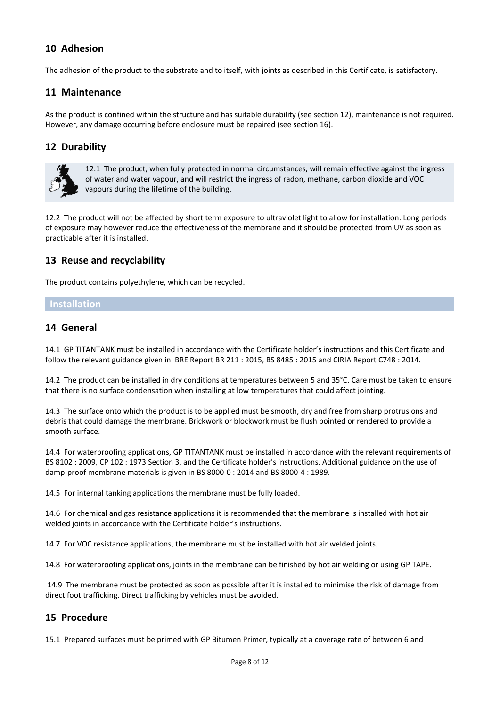# **10 Adhesion**

The adhesion of the product to the substrate and to itself, with joints as described in this Certificate, is satisfactory.

# **11 Maintenance**

As the product is confined within the structure and has suitable durability (see section 12), maintenance is not required. However, any damage occurring before enclosure must be repaired (see section 16).

# **12 Durability**



12.1 The product, when fully protected in normal circumstances, will remain effective against the ingress of water and water vapour, and will restrict the ingress of radon, methane, carbon dioxide and VOC vapours during the lifetime of the building.

12.2 The product will not be affected by short term exposure to ultraviolet light to allow for installation. Long periods of exposure may however reduce the effectiveness of the membrane and it should be protected from UV as soon as practicable after it is installed.

# **13 Reuse and recyclability**

The product contains polyethylene, which can be recycled.

#### **Installation**

## **14 General**

14.1 GP TITANTANK must be installed in accordance with the Certificate holder's instructions and this Certificate and follow the relevant guidance given in BRE Report BR 211 : 2015, BS 8485 : 2015 and CIRIA Report C748 : 2014.

14.2 The product can be installed in dry conditions at temperatures between 5 and 35°C. Care must be taken to ensure that there is no surface condensation when installing at low temperatures that could affect jointing.

14.3 The surface onto which the product is to be applied must be smooth, dry and free from sharp protrusions and debris that could damage the membrane. Brickwork or blockwork must be flush pointed or rendered to provide a smooth surface.

14.4 For waterproofing applications, GP TITANTANK must be installed in accordance with the relevant requirements of BS 8102 : 2009, CP 102 : 1973 Section 3, and the Certificate holder's instructions. Additional guidance on the use of damp-proof membrane materials is given in BS 8000-0 : 2014 and BS 8000-4 : 1989.

14.5 For internal tanking applications the membrane must be fully loaded.

14.6 For chemical and gas resistance applications it is recommended that the membrane is installed with hot air welded joints in accordance with the Certificate holder's instructions.

14.7 For VOC resistance applications, the membrane must be installed with hot air welded joints.

14.8 For waterproofing applications, joints in the membrane can be finished by hot air welding or using GP TAPE.

14.9 The membrane must be protected as soon as possible after it is installed to minimise the risk of damage from direct foot trafficking. Direct trafficking by vehicles must be avoided.

# **15 Procedure**

15.1 Prepared surfaces must be primed with GP Bitumen Primer, typically at a coverage rate of between 6 and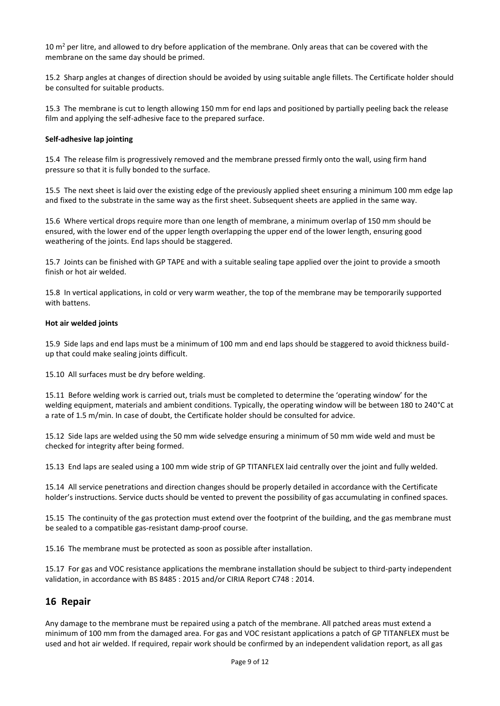10  $m<sup>2</sup>$  per litre, and allowed to dry before application of the membrane. Only areas that can be covered with the membrane on the same day should be primed.

15.2 Sharp angles at changes of direction should be avoided by using suitable angle fillets. The Certificate holder should be consulted for suitable products.

15.3 The membrane is cut to length allowing 150 mm for end laps and positioned by partially peeling back the release film and applying the self-adhesive face to the prepared surface.

#### **Self-adhesive lap jointing**

15.4 The release film is progressively removed and the membrane pressed firmly onto the wall, using firm hand pressure so that it is fully bonded to the surface.

15.5 The next sheet is laid over the existing edge of the previously applied sheet ensuring a minimum 100 mm edge lap and fixed to the substrate in the same way as the first sheet. Subsequent sheets are applied in the same way.

15.6 Where vertical drops require more than one length of membrane, a minimum overlap of 150 mm should be ensured, with the lower end of the upper length overlapping the upper end of the lower length, ensuring good weathering of the joints. End laps should be staggered.

15.7 Joints can be finished with GP TAPE and with a suitable sealing tape applied over the joint to provide a smooth finish or hot air welded.

15.8 In vertical applications, in cold or very warm weather, the top of the membrane may be temporarily supported with battens.

#### **Hot air welded joints**

15.9 Side laps and end laps must be a minimum of 100 mm and end laps should be staggered to avoid thickness buildup that could make sealing joints difficult.

15.10 All surfaces must be dry before welding.

15.11 Before welding work is carried out, trials must be completed to determine the 'operating window' for the welding equipment, materials and ambient conditions. Typically, the operating window will be between 180 to 240°C at a rate of 1.5 m/min. In case of doubt, the Certificate holder should be consulted for advice.

15.12 Side laps are welded using the 50 mm wide selvedge ensuring a minimum of 50 mm wide weld and must be checked for integrity after being formed.

15.13 End laps are sealed using a 100 mm wide strip of GP TITANFLEX laid centrally over the joint and fully welded.

15.14 All service penetrations and direction changes should be properly detailed in accordance with the Certificate holder's instructions. Service ducts should be vented to prevent the possibility of gas accumulating in confined spaces.

15.15 The continuity of the gas protection must extend over the footprint of the building, and the gas membrane must be sealed to a compatible gas-resistant damp-proof course.

15.16 The membrane must be protected as soon as possible after installation.

15.17 For gas and VOC resistance applications the membrane installation should be subject to third-party independent validation, in accordance with BS 8485 : 2015 and/or CIRIA Report C748 : 2014.

## **16 Repair**

Any damage to the membrane must be repaired using a patch of the membrane. All patched areas must extend a minimum of 100 mm from the damaged area. For gas and VOC resistant applications a patch of GP TITANFLEX must be used and hot air welded. If required, repair work should be confirmed by an independent validation report, as all gas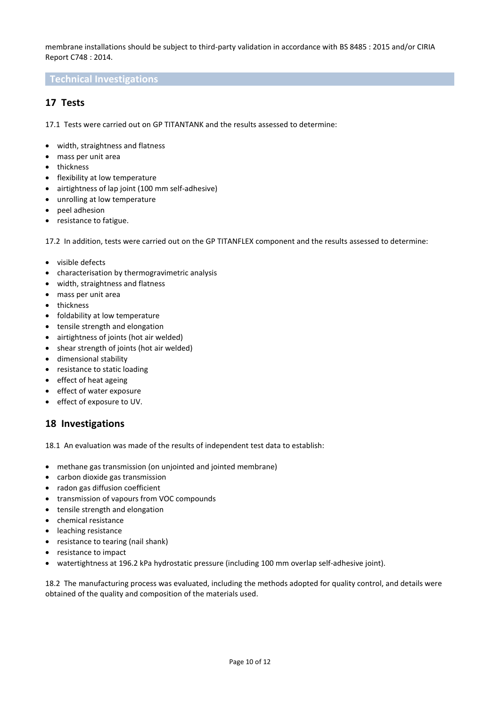membrane installations should be subject to third-party validation in accordance with BS 8485 : 2015 and/or CIRIA Report C748 : 2014.

#### **Technical Investigations**

# **17 Tests**

17.1 Tests were carried out on GP TITANTANK and the results assessed to determine:

- width, straightness and flatness
- mass per unit area
- thickness
- flexibility at low temperature
- airtightness of lap joint (100 mm self-adhesive)
- unrolling at low temperature
- peel adhesion
- resistance to fatigue.

17.2 In addition, tests were carried out on the GP TITANFLEX component and the results assessed to determine:

- visible defects
- characterisation by thermogravimetric analysis
- width, straightness and flatness
- mass per unit area
- thickness
- foldability at low temperature
- tensile strength and elongation
- airtightness of joints (hot air welded)
- shear strength of joints (hot air welded)
- dimensional stability
- resistance to static loading
- effect of heat ageing
- effect of water exposure
- effect of exposure to UV.

## **18 Investigations**

18.1 An evaluation was made of the results of independent test data to establish:

- methane gas transmission (on unjointed and jointed membrane)
- carbon dioxide gas transmission
- radon gas diffusion coefficient
- transmission of vapours from VOC compounds
- tensile strength and elongation
- chemical resistance
- leaching resistance
- resistance to tearing (nail shank)
- resistance to impact
- watertightness at 196.2 kPa hydrostatic pressure (including 100 mm overlap self-adhesive joint).

18.2 The manufacturing process was evaluated, including the methods adopted for quality control, and details were obtained of the quality and composition of the materials used.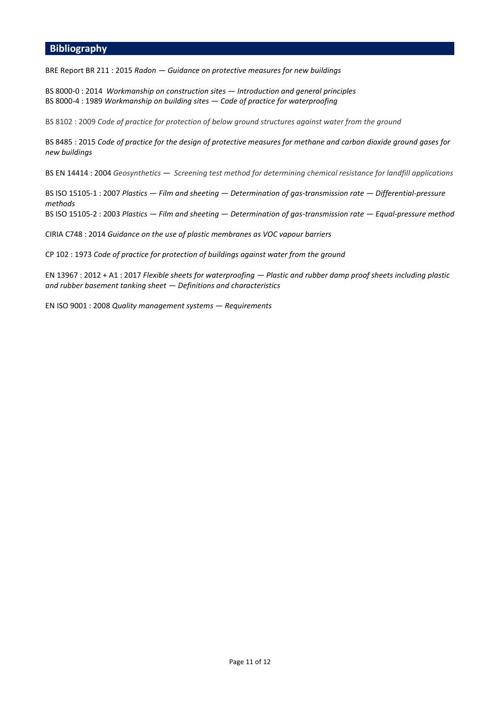#### **Bibliography**

BRE Report BR 211 : 2015 *Radon — Guidance on protective measures for new buildings*

BS 8000-0 : 2014 *Workmanship on construction sites — Introduction and general principles* BS 8000-4 : 1989 *Workmanship on building sites — Code of practice for waterproofing*

BS 8102 : 2009 *Code of practice for protection of below ground structures against water from the ground*

BS 8485 : 2015 *Code of practice for the design of protective measures for methane and carbon dioxide ground gases for new buildings*

BS EN 14414 : 2004 *Geosynthetics — [Screening test method for determining chemical resistance for landfill applications](https://shop.bsigroup.com/ProductDetail?pid=000000000030324202)*

BS ISO 15105-1 : 2007 *Plastics — Film and sheeting — Determination of gas-transmission rate — Differential-pressure methods* BS ISO 15105-2 : 2003 *Plastics — Film and sheeting — Determination of gas-transmission rate — Equal-pressure method*

CIRIA C748 : 2014 *Guidance on the use of plastic membranes as VOC vapour barriers*

CP 102 : 1973 *Code of practice for protection of buildings against water from the ground*

EN 13967 : 2012 + A1 : 2017 *Flexible sheets for waterproofing — Plastic and rubber damp proof sheets including plastic and rubber basement tanking sheet — Definitions and characteristics*

EN ISO 9001 : 2008 *Quality management systems — Requirements*